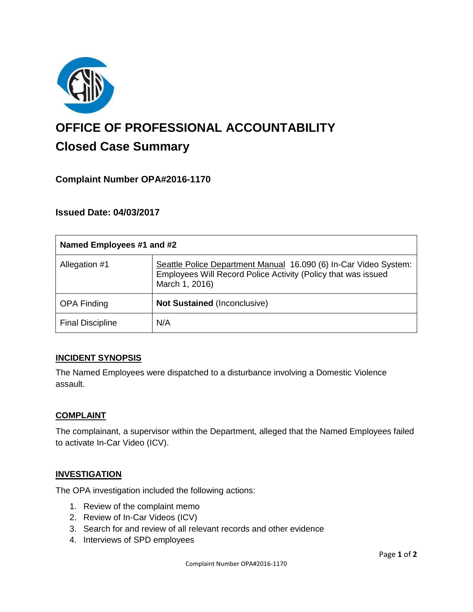

# **OFFICE OF PROFESSIONAL ACCOUNTABILITY Closed Case Summary**

## **Complaint Number OPA#2016-1170**

## **Issued Date: 04/03/2017**

| Named Employees #1 and #2 |                                                                                                                                                     |
|---------------------------|-----------------------------------------------------------------------------------------------------------------------------------------------------|
| Allegation #1             | Seattle Police Department Manual 16.090 (6) In-Car Video System:<br>Employees Will Record Police Activity (Policy that was issued<br>March 1, 2016) |
| <b>OPA Finding</b>        | <b>Not Sustained (Inconclusive)</b>                                                                                                                 |
| <b>Final Discipline</b>   | N/A                                                                                                                                                 |

## **INCIDENT SYNOPSIS**

The Named Employees were dispatched to a disturbance involving a Domestic Violence assault.

#### **COMPLAINT**

The complainant, a supervisor within the Department, alleged that the Named Employees failed to activate In-Car Video (ICV).

## **INVESTIGATION**

The OPA investigation included the following actions:

- 1. Review of the complaint memo
- 2. Review of In-Car Videos (ICV)
- 3. Search for and review of all relevant records and other evidence
- 4. Interviews of SPD employees